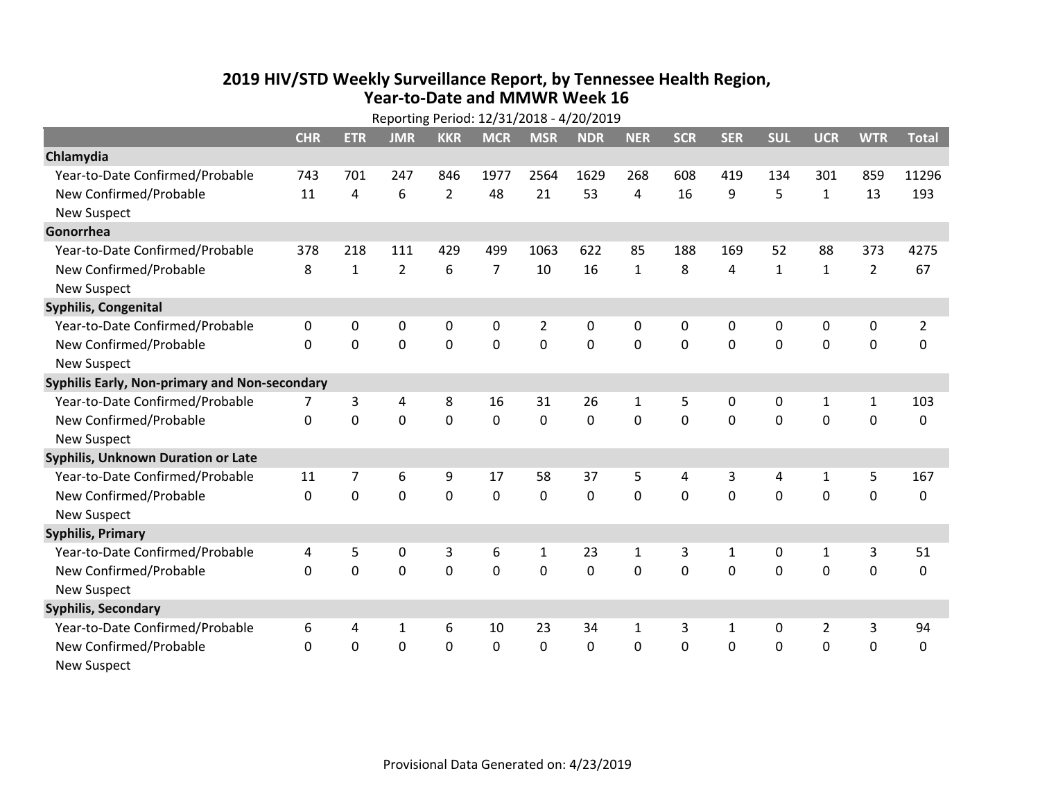## **2019 HIV /STD Weekly Surveillance Report, by Tennessee Health Region, Year‐to‐Date and MMWR Week 16**  $R = R \cdot 1.142^{124}$

|                                               | Reporting Period: 12/31/2018 - 4/20/2019 |              |                |                |                |                |             |              |            |              |              |                |                |                |
|-----------------------------------------------|------------------------------------------|--------------|----------------|----------------|----------------|----------------|-------------|--------------|------------|--------------|--------------|----------------|----------------|----------------|
|                                               | <b>CHR</b>                               | <b>ETR</b>   | <b>JMR</b>     | <b>KKR</b>     | <b>MCR</b>     | <b>MSR</b>     | <b>NDR</b>  | <b>NER</b>   | <b>SCR</b> | <b>SER</b>   | <b>SUL</b>   | <b>UCR</b>     | <b>WTR</b>     | <b>Total</b>   |
| Chlamydia                                     |                                          |              |                |                |                |                |             |              |            |              |              |                |                |                |
| Year-to-Date Confirmed/Probable               | 743                                      | 701          | 247            | 846            | 1977           | 2564           | 1629        | 268          | 608        | 419          | 134          | 301            | 859            | 11296          |
| New Confirmed/Probable                        | 11                                       | 4            | 6              | $\overline{2}$ | 48             | 21             | 53          | 4            | 16         | 9            | 5            | $\mathbf{1}$   | 13             | 193            |
| <b>New Suspect</b>                            |                                          |              |                |                |                |                |             |              |            |              |              |                |                |                |
| Gonorrhea                                     |                                          |              |                |                |                |                |             |              |            |              |              |                |                |                |
| Year-to-Date Confirmed/Probable               | 378                                      | 218          | 111            | 429            | 499            | 1063           | 622         | 85           | 188        | 169          | 52           | 88             | 373            | 4275           |
| New Confirmed/Probable                        | 8                                        | $\mathbf{1}$ | $\overline{2}$ | 6              | $\overline{7}$ | 10             | 16          | $\mathbf{1}$ | 8          | 4            | $\mathbf{1}$ | $\mathbf{1}$   | $\overline{2}$ | 67             |
| <b>New Suspect</b>                            |                                          |              |                |                |                |                |             |              |            |              |              |                |                |                |
| Syphilis, Congenital                          |                                          |              |                |                |                |                |             |              |            |              |              |                |                |                |
| Year-to-Date Confirmed/Probable               | 0                                        | 0            | 0              | 0              | 0              | $\overline{2}$ | 0           | 0            | 0          | $\mathbf{0}$ | 0            | 0              | 0              | $\overline{2}$ |
| New Confirmed/Probable                        | $\Omega$                                 | $\Omega$     | 0              | 0              | $\mathbf 0$    | $\mathbf 0$    | $\mathbf 0$ | $\Omega$     | $\Omega$   | $\mathbf{0}$ | $\Omega$     | $\mathbf 0$    | $\mathbf 0$    | 0              |
| <b>New Suspect</b>                            |                                          |              |                |                |                |                |             |              |            |              |              |                |                |                |
| Syphilis Early, Non-primary and Non-secondary |                                          |              |                |                |                |                |             |              |            |              |              |                |                |                |
| Year-to-Date Confirmed/Probable               | 7                                        | 3            | 4              | 8              | 16             | 31             | 26          | 1            | 5          | 0            | 0            | 1              | 1              | 103            |
| New Confirmed/Probable                        | $\Omega$                                 | $\mathbf 0$  | 0              | 0              | 0              | $\mathbf 0$    | 0           | $\Omega$     | $\Omega$   | $\mathbf 0$  | 0            | $\mathbf 0$    | $\mathbf 0$    | 0              |
| <b>New Suspect</b>                            |                                          |              |                |                |                |                |             |              |            |              |              |                |                |                |
| Syphilis, Unknown Duration or Late            |                                          |              |                |                |                |                |             |              |            |              |              |                |                |                |
| Year-to-Date Confirmed/Probable               | 11                                       | 7            | 6              | 9              | 17             | 58             | 37          | 5            | 4          | 3            | 4            | 1              | 5              | 167            |
| New Confirmed/Probable                        | 0                                        | 0            | 0              | 0              | $\mathbf 0$    | 0              | $\mathbf 0$ | $\Omega$     | $\Omega$   | $\mathbf 0$  | $\mathbf 0$  | $\mathbf 0$    | $\mathbf 0$    | 0              |
| <b>New Suspect</b>                            |                                          |              |                |                |                |                |             |              |            |              |              |                |                |                |
| <b>Syphilis, Primary</b>                      |                                          |              |                |                |                |                |             |              |            |              |              |                |                |                |
| Year-to-Date Confirmed/Probable               | 4                                        | 5            | 0              | 3              | 6              | $\mathbf{1}$   | 23          | $\mathbf{1}$ | 3          | $\mathbf{1}$ | 0            | $\mathbf{1}$   | 3              | 51             |
| New Confirmed/Probable                        | 0                                        | 0            | 0              | 0              | $\mathbf 0$    | $\mathbf 0$    | 0           | $\Omega$     | $\Omega$   | $\mathbf 0$  | $\mathbf 0$  | $\mathbf 0$    | $\mathbf 0$    | 0              |
| <b>New Suspect</b>                            |                                          |              |                |                |                |                |             |              |            |              |              |                |                |                |
| <b>Syphilis, Secondary</b>                    |                                          |              |                |                |                |                |             |              |            |              |              |                |                |                |
| Year-to-Date Confirmed/Probable               | 6                                        | 4            | $\mathbf{1}$   | 6              | 10             | 23             | 34          | $\mathbf{1}$ | 3          | $\mathbf{1}$ | 0            | $\overline{2}$ | 3              | 94             |
| New Confirmed/Probable                        | $\Omega$                                 | 0            | 0              | 0              | $\mathbf 0$    | 0              | 0           | $\Omega$     | $\Omega$   | $\mathbf 0$  | 0            | $\mathbf 0$    | $\mathbf 0$    | 0              |
| <b>New Suspect</b>                            |                                          |              |                |                |                |                |             |              |            |              |              |                |                |                |